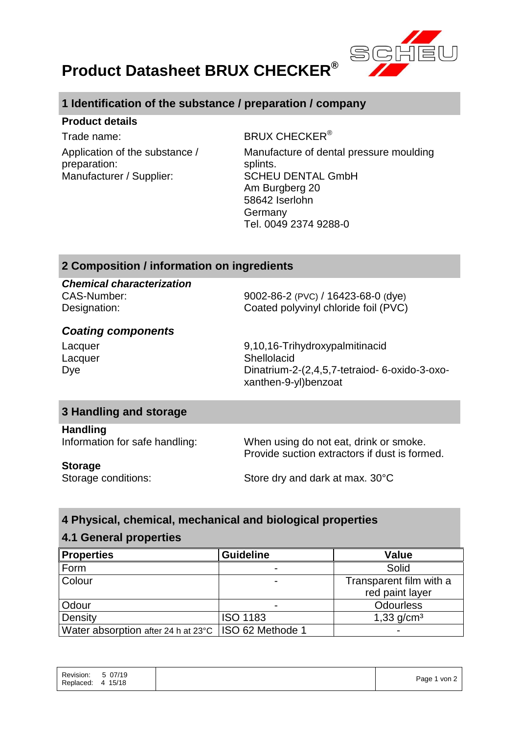

# **Product Datasheet BRUX CHECKER®**

# **1 Identification of the substance / preparation / company**

#### **Product details**

Trade name: BRUX CHECKER<sup>®</sup> Application of the substance / preparation: Manufacturer / Supplier: SCHEU DENTAL GmbH

Manufacture of dental pressure moulding splints. Am Burgberg 20 58642 Iserlohn Germany Tel. 0049 2374 9288-0

## **2 Composition / information on ingredients**

*Chemical characterization*

CAS-Number: 9002-86-2 (PVC) / 16423-68-0 (dye) Designation: Coated polyvinyl chloride foil (PVC)

## *Coating components*

Lacquer 9,10,16-Trihydroxypalmitinacid Lacquer **Shellolacid** Shellolacid Dye Dinatrium-2-(2,4,5,7-tetraiod- 6-oxido-3-oxoxanthen-9-yl)benzoat

## **3 Handling and storage**

**Handling**

Information for safe handling: When using do not eat, drink or smoke. Provide suction extractors if dust is formed.

#### **Storage**

Storage conditions: Store dry and dark at max. 30°C

## **4 Physical, chemical, mechanical and biological properties**

## **4.1 General properties**

| <b>Properties</b>                                      | <b>Guideline</b> | Value                    |
|--------------------------------------------------------|------------------|--------------------------|
| Form                                                   |                  | Solid                    |
| Colour                                                 |                  | Transparent film with a  |
|                                                        |                  | red paint layer          |
| Odour                                                  |                  | <b>Odourless</b>         |
| Density                                                | <b>ISO 1183</b>  | $1,33$ g/cm <sup>3</sup> |
| Water absorption after 24 h at 23°C   ISO 62 Methode 1 |                  |                          |

| Revision:<br>Replaced: 4 15/18 | 5 07/19 |  | Page 1 von 2 |
|--------------------------------|---------|--|--------------|
|--------------------------------|---------|--|--------------|